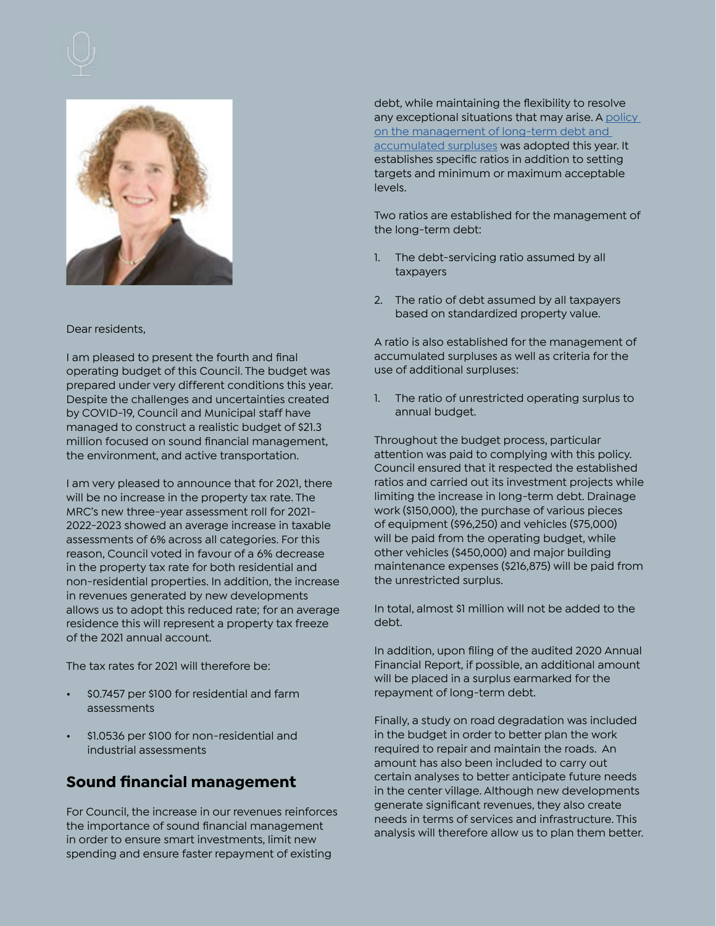



#### Dear residents,

I am pleased to present the fourth and final operating budget of this Council. The budget was prepared under very different conditions this year. Despite the challenges and uncertainties created by COVID-19, Council and Municipal staff have managed to construct a realistic budget of \$21.3 million focused on sound financial management, the environment, and active transportation.

I am very pleased to announce that for 2021, there will be no increase in the property tax rate. The MRC's new three-year assessment roll for 2021- 2022-2023 showed an average increase in taxable assessments of 6% across all categories. For this reason, Council voted in favour of a 6% decrease in the property tax rate for both residential and non-residential properties. In addition, the increase in revenues generated by new developments allows us to adopt this reduced rate; for an average residence this will represent a property tax freeze of the 2021 annual account.

The tax rates for 2021 will therefore be:

- \$0.7457 per \$100 for residential and farm assessments
- \$1.0536 per \$100 for non-residential and industrial assessments

# **Sound financial management**

For Council, the increase in our revenues reinforces the importance of sound financial management in order to ensure smart investments, limit new spending and ensure faster repayment of existing

debt, while maintaining the flexibility to resolve any exceptional situations that may arise. A [policy](https://www.chelsea.ca/application/files/1016/0433/1921/Politique-gestion-dette-long-terme-et-excedents_revisee_2020-08-12_FINAL.pdf)  [on the management of long-term debt and](https://www.chelsea.ca/application/files/1016/0433/1921/Politique-gestion-dette-long-terme-et-excedents_revisee_2020-08-12_FINAL.pdf)  [accumulated surpluses](https://www.chelsea.ca/application/files/1016/0433/1921/Politique-gestion-dette-long-terme-et-excedents_revisee_2020-08-12_FINAL.pdf) was adopted this year. It establishes specific ratios in addition to setting targets and minimum or maximum acceptable levels.

Two ratios are established for the management of the long-term debt:

- 1. The debt-servicing ratio assumed by all taxpayers
- 2. The ratio of debt assumed by all taxpayers based on standardized property value.

A ratio is also established for the management of accumulated surpluses as well as criteria for the use of additional surpluses:

1. The ratio of unrestricted operating surplus to annual budget.

Throughout the budget process, particular attention was paid to complying with this policy. Council ensured that it respected the established ratios and carried out its investment projects while limiting the increase in long-term debt. Drainage work (\$150,000), the purchase of various pieces of equipment (\$96,250) and vehicles (\$75,000) will be paid from the operating budget, while other vehicles (\$450,000) and major building maintenance expenses (\$216,875) will be paid from the unrestricted surplus.

In total, almost \$1 million will not be added to the debt.

In addition, upon filing of the audited 2020 Annual Financial Report, if possible, an additional amount will be placed in a surplus earmarked for the repayment of long-term debt.

Finally, a study on road degradation was included in the budget in order to better plan the work required to repair and maintain the roads. An amount has also been included to carry out certain analyses to better anticipate future needs in the center village. Although new developments generate significant revenues, they also create needs in terms of services and infrastructure. This analysis will therefore allow us to plan them better.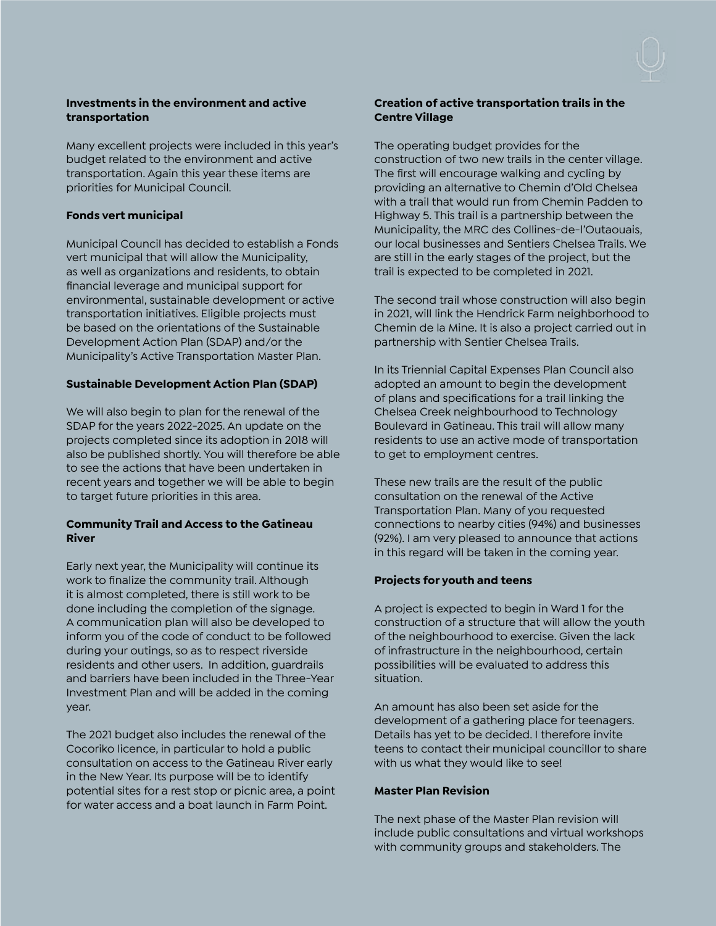

### **Investments in the environment and active transportation**

Many excellent projects were included in this year's budget related to the environment and active transportation. Again this year these items are priorities for Municipal Council.

### **Fonds vert municipal**

Municipal Council has decided to establish a Fonds vert municipal that will allow the Municipality, as well as organizations and residents, to obtain financial leverage and municipal support for environmental, sustainable development or active transportation initiatives. Eligible projects must be based on the orientations of the Sustainable Development Action Plan (SDAP) and/or the Municipality's Active Transportation Master Plan.

## **Sustainable Development Action Plan (SDAP)**

We will also begin to plan for the renewal of the SDAP for the years 2022-2025. An update on the projects completed since its adoption in 2018 will also be published shortly. You will therefore be able to see the actions that have been undertaken in recent years and together we will be able to begin to target future priorities in this area.

### **Community Trail and Access to the Gatineau River**

Early next year, the Municipality will continue its work to finalize the community trail. Although it is almost completed, there is still work to be done including the completion of the signage. A communication plan will also be developed to inform you of the code of conduct to be followed during your outings, so as to respect riverside residents and other users. In addition, guardrails and barriers have been included in the Three-Year Investment Plan and will be added in the coming year.

The 2021 budget also includes the renewal of the Cocoriko licence, in particular to hold a public consultation on access to the Gatineau River early in the New Year. Its purpose will be to identify potential sites for a rest stop or picnic area, a point for water access and a boat launch in Farm Point.

#### **Creation of active transportation trails in the Centre Village**

The operating budget provides for the construction of two new trails in the center village. The first will encourage walking and cycling by providing an alternative to Chemin d'Old Chelsea with a trail that would run from Chemin Padden to Highway 5. This trail is a partnership between the Municipality, the MRC des Collines-de-l'Outaouais, our local businesses and Sentiers Chelsea Trails. We are still in the early stages of the project, but the trail is expected to be completed in 2021.

The second trail whose construction will also begin in 2021, will link the Hendrick Farm neighborhood to Chemin de la Mine. It is also a project carried out in partnership with Sentier Chelsea Trails.

In its Triennial Capital Expenses Plan Council also adopted an amount to begin the development of plans and specifications for a trail linking the Chelsea Creek neighbourhood to Technology Boulevard in Gatineau. This trail will allow many residents to use an active mode of transportation to get to employment centres.

These new trails are the result of the public consultation on the renewal of the Active Transportation Plan. Many of you requested connections to nearby cities (94%) and businesses (92%). I am very pleased to announce that actions in this regard will be taken in the coming year.

## **Projects for youth and teens**

A project is expected to begin in Ward 1 for the construction of a structure that will allow the youth of the neighbourhood to exercise. Given the lack of infrastructure in the neighbourhood, certain possibilities will be evaluated to address this situation.

An amount has also been set aside for the development of a gathering place for teenagers. Details has yet to be decided. I therefore invite teens to contact their municipal councillor to share with us what they would like to see!

#### **Master Plan Revision**

The next phase of the Master Plan revision will include public consultations and virtual workshops with community groups and stakeholders. The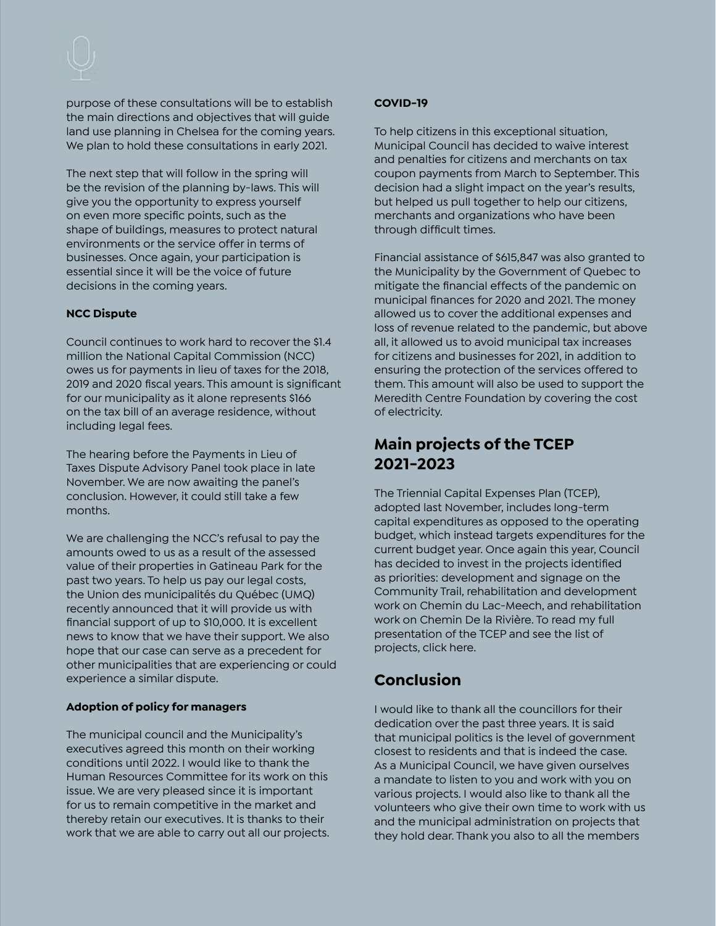purpose of these consultations will be to establish the main directions and objectives that will guide land use planning in Chelsea for the coming years. We plan to hold these consultations in early 2021.

The next step that will follow in the spring will be the revision of the planning by-laws. This will give you the opportunity to express yourself on even more specific points, such as the shape of buildings, measures to protect natural environments or the service offer in terms of businesses. Once again, your participation is essential since it will be the voice of future decisions in the coming years.

# **NCC Dispute**

Council continues to work hard to recover the \$1.4 million the National Capital Commission (NCC) owes us for payments in lieu of taxes for the 2018, 2019 and 2020 fiscal years. This amount is significant for our municipality as it alone represents \$166 on the tax bill of an average residence, without including legal fees.

The hearing before the Payments in Lieu of Taxes Dispute Advisory Panel took place in late November. We are now awaiting the panel's conclusion. However, it could still take a few months.

We are challenging the NCC's refusal to pay the amounts owed to us as a result of the assessed value of their properties in Gatineau Park for the past two years. To help us pay our legal costs, the Union des municipalités du Québec (UMQ) recently announced that it will provide us with financial support of up to \$10,000. It is excellent news to know that we have their support. We also hope that our case can serve as a precedent for other municipalities that are experiencing or could experience a similar dispute.

## **Adoption of policy for managers**

The municipal council and the Municipality's executives agreed this month on their working conditions until 2022. I would like to thank the Human Resources Committee for its work on this issue. We are very pleased since it is important for us to remain competitive in the market and thereby retain our executives. It is thanks to their work that we are able to carry out all our projects.

# **COVID-19**

To help citizens in this exceptional situation, Municipal Council has decided to waive interest and penalties for citizens and merchants on tax coupon payments from March to September. This decision had a slight impact on the year's results, but helped us pull together to help our citizens, merchants and organizations who have been through difficult times.

Financial assistance of \$615,847 was also granted to the Municipality by the Government of Quebec to mitigate the financial effects of the pandemic on municipal finances for 2020 and 2021. The money allowed us to cover the additional expenses and loss of revenue related to the pandemic, but above all, it allowed us to avoid municipal tax increases for citizens and businesses for 2021, in addition to ensuring the protection of the services offered to them. This amount will also be used to support the Meredith Centre Foundation by covering the cost of electricity.

# **Main projects of the TCEP 2021-2023**

The Triennial Capital Expenses Plan (TCEP), adopted last November, includes long-term capital expenditures as opposed to the operating budget, which instead targets expenditures for the current budget year. Once again this year, Council has decided to invest in the projects identified as priorities: development and signage on the Community Trail, rehabilitation and development work on Chemin du Lac-Meech, and rehabilitation work on Chemin De la Rivière. To read my full presentation of the TCEP and see the list of projects, click here.

# **Conclusion**

I would like to thank all the councillors for their dedication over the past three years. It is said that municipal politics is the level of government closest to residents and that is indeed the case. As a Municipal Council, we have given ourselves a mandate to listen to you and work with you on various projects. I would also like to thank all the volunteers who give their own time to work with us and the municipal administration on projects that they hold dear. Thank you also to all the members